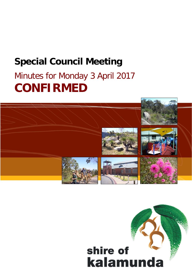## **Special Council Meeting**

# Minutes for Monday 3 April 2017 **CONFIRMED**



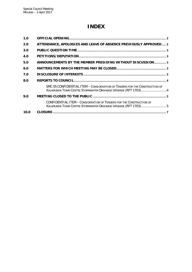### **INDEX**

| 1.0  |                                                                                                                                              |  |
|------|----------------------------------------------------------------------------------------------------------------------------------------------|--|
| 2.0  | ATTENDANCE, APOLOGIES AND LEAVE OF ABSENCE PREVIOUSLY APPROVED 2                                                                             |  |
| 3.0  |                                                                                                                                              |  |
| 4.0  |                                                                                                                                              |  |
| 5.0  | ANNOUNCEMENTS BY THE MEMBER PRESIDING WITHOUT DISCUSSION 3                                                                                   |  |
| 6.0  |                                                                                                                                              |  |
| 7.0  |                                                                                                                                              |  |
| 8.0  |                                                                                                                                              |  |
|      | SMC 05 CONFIDENTIAL ITEM - CONSIDERATION OF TENDERS FOR THE CONSTRUCTION OF<br>KALAMUNDA TOWN CENTRE STORMWATER DRAINAGE UPGRADE (RFT 1703)4 |  |
| 9.0  |                                                                                                                                              |  |
|      | CONFIDENTIAL ITEM - CONSIDERATION OF TENDERS FOR THE CONSTRUCTION OF<br>KALAMUNDA TOWN CENTRE STORMWATER DRAINAGE UPGRADE (RFT 1703)5        |  |
| 10.0 |                                                                                                                                              |  |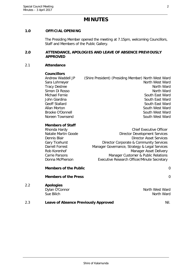### **MINUTES**

#### <span id="page-2-0"></span>**1.0 OFFICIAL OPENING**

The Presiding Member opened the meeting at 7.15pm, welcoming Councillors, Staff and Members of the Public Gallery.

#### <span id="page-2-1"></span>**2.0 ATTENDANCE, APOLOGIES AND LEAVE OF ABSENCE PREVIOUSLY APPROVED**

#### 2.1 **Attendance**

#### **Councillors**

Andrew Waddell JP (Shire President) (Presiding Member) North West Ward Sara Lohmeyer North West Ward Tracy Destree North Ward Simon Di Rosso North Ward Michael Fernie South East Ward John Giardina South East Ward South East Ward Geoff Stallard South East Ward Allan Morton South West Ward Brooke O'Donnell South West Ward Noreen Townsend South West Ward

#### **Members of Staff**

| Rhonda Hardy         | <b>Chief Executive Officer</b>                |
|----------------------|-----------------------------------------------|
| Natalie Martin Goode | <b>Director Development Services</b>          |
| Dennis Blair         | <b>Director Asset Services</b>                |
| Gary Ticehurst       | Director Corporate & Community Services       |
| Darrell Forrest      | Manager Governance, Strategy & Legal Services |
| Rob Korenhof         | Manager Asset Delivery                        |
| Carrie Parsons       | Manager Customer & Public Relations           |
| Donna McPherson      | Executive Research Officer/Minute Secretary   |
|                      |                                               |

**Members of the Public** 0

## **Members of the Press** 0 2.2 **Apologies** Dylan O'Connor North West Ward Sue Bilich North Ward 2.3 **Leave of Absence Previously Approved Nil.**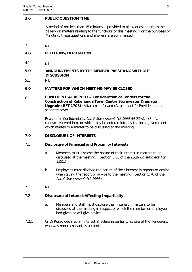#### <span id="page-3-0"></span>**3.0 PUBLIC QUESTION TIME**

A period of not less than 15 minutes is provided to allow questions from the gallery on matters relating to the functions of this meeting. For the purposes of Minuting, these questions and answers are summarised.

3.1 Nil.

#### <span id="page-3-1"></span>**4.0 PETITIONS/DEPUTATION**

4.1 Nil.

#### <span id="page-3-2"></span>**5.0 ANNOUNCEMENTS BY THE MEMBER PRESIDING WITHOUT DISCUSSION**

5.1 Nil.

#### <span id="page-3-3"></span>**6.0 MATTERS FOR WHICH MEETING MAY BE CLOSED**

6.1 **CONFIDENTIAL REPORT – Consideration of Tenders for the Construction of Kalamunda Town Centre Stormwater Drainage Upgrade (RFT 1703)** (Attachment 1) and (Attachment 2) Provided under separate cover.

> Reason for Confidentiality Local Government Act 1995 S5.23 (2) (c) – "a contract entered into, or which may be entered into, by the local government which relates to a matter to be discussed at the meeting."

#### <span id="page-3-4"></span>**7.0 DISCLOSURE OF INTERESTS**

#### 7.1 **Disclosure of Financial and Proximity Interests**

- a. Members must disclose the nature of their interest in matters to be discussed at the meeting. (Section 5.65 of the Local Government Act 1995.)
- b. Employees must disclose the nature of their interest in reports or advice when giving the report or advice to the meeting. (Section 5.70 of the Local Government Act 1995.)
- 7.1.1 Nil.

#### 7.2 **Disclosure of Interest Affecting Impartiality**

- a. Members and staff must disclose their interest in matters to be discussed at the meeting in respect of which the member or employee had given or will give advice.
- 7.2.1 Cr Di Rosso declared an interest affecting impartiality as one of the Tenderers, who was non-compliant, is a client.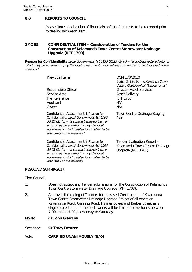#### <span id="page-4-0"></span>**8.0 REPORTS TO COUNCIL**

Please Note: declaration of financial/conflict of interests to be recorded prior to dealing with each item.

#### <span id="page-4-1"></span>**SMC 05 CONFIDENTIAL ITEM – Consideration of Tenders for the Construction of Kalamunda Town Centre Stormwater Drainage Upgrade (RFT 1703)**

**Reason for Confidentiality** Local Government Act 1995 S5.23 (2) (c) – "a contract entered into, or which may be entered into, by the local government which relates to a matter to be discussed at the meeting."

| Previous Items                       | OCM 170/2010<br>Blair, D. (2016). Kalamunda Town<br>Centre-Geotechnical Testing [email] |
|--------------------------------------|-----------------------------------------------------------------------------------------|
| Responsible Officer                  | <b>Director Asset Services</b>                                                          |
| Service Area                         | <b>Asset Delivery</b>                                                                   |
| File Reference                       | <b>RFT 1703</b>                                                                         |
| Applicant                            | N/A                                                                                     |
| Owner                                | N/A                                                                                     |
| Confidential Attachment 1 Reason for | Town Centre Drainage Staging                                                            |

Plan

Confidential Attachment 1 Reason for Confidentiality Local Government Act 1995  $S5.23$  (2) (c) – "a contract entered into, or which may be entered into, by the local government which relates to a matter to be discussed at the meeting."

Confidential Attachment 2 Reason for Confidentiality Local Government Act 1995  $S5.23$  (2) (c) – "a contract entered into, or which may be entered into, by the local government which relates to a matter to be discussed at the meeting."

Tender Evaluation Report - Kalamunda Town Centre Drainage Upgrade (RFT 1703)

#### RESOLVED SCM 49/2017

That Council:

- 1. Does not accept any Tender submissions for the Construction of Kalamunda Town Centre Stormwater Drainage Upgrade (RFT 1703).
- 2. Approves the calling of Tenders for a revised Construction of Kalamunda Town Centre Stormwater Drainage Upgrade Project of all works on Kalamunda Road, Canning Road, Haynes Street and Barber Street as a single project and on the basis works will be limited to the hours between 7:00am and 7:00pm Monday to Saturday.

Moved: **Cr John Giardina**

Seconded: **Cr Tracy Destree**

#### Vote: **CARRIED UNANIMOUSLY (8/0)**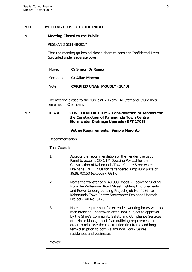#### <span id="page-5-0"></span>**9.0 MEETING CLOSED TO THE PUBLIC**

#### 9.1 **Meeting Closed to the Public**

#### RESOLVED SCM 48/2017

That the meeting go behind closed doors to consider Confidential Item (provided under separate cover).

| Moved: | <b>Cr Simon Di Rosso</b> |  |
|--------|--------------------------|--|
|        |                          |  |

Seconded: **Cr Allan Morton**

Vote: **CARRIED UNANIMOUSLY (10/0)**

<span id="page-5-1"></span>The meeting closed to the public at 7:17pm. All Staff and Councillors remained in Chambers.

9.2 **10.4.4 CONFIDENTIAL ITEM – Consideration of Tenders for the Construction of Kalamunda Town Centre Stormwater Drainage Upgrade (RFT 1703)**

**Voting Requirements: Simple Majority**

#### Recommendation

That Council:

- 1. Accepts the recommendation of the Tender Evaluation Panel to appoint CQ & JM Dowsing Pty Ltd for the Construction of Kalamunda Town Centre Stormwater Drainage (RFT 1703) for its tendered lump sum price of \$928,700.50 (excluding GST).
- 2. Notes the transfer of \$140,000 Roads 2 Recovery funding from the Wittenoom Road Street Lighting Improvements and Power Undergrounding Project (Job No. 4086) to Kalamunda Town Centre Stormwater Drainage Upgrade Project (Job No. 8125).
- 3. Notes the requirement for extended working hours with no rock breaking undertaken after 9pm, subject to approval by the Shire's Community Safety and Compliance Services of a Noise Management Plan outlining requirements in order to minimise the construction timeframe and longterm disruption to both Kalamunda Town Centre residences and businesses.

Moved: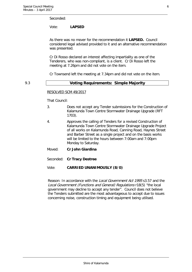#### Seconded:

#### Vote: **LAPSED**

As there was no mover for the recommendation it **LAPSED.** Council considered legal advised provided to it and an alternative recommendation was presented.

Cr Di Rosso declared an interest affecting impartiality as one of the Tenderers, who was non-compliant, is a client. Cr Di Rosso left the meeting at 7.26pm and did not vote on the item.

Cr Townsend left the meeting at 7.34pm and did not vote on the item.

#### 9.3 **Voting Requirements: Simple Majority**

#### RESOLVED SCM 49/2017

That Council:

- 3. Does not accept any Tender submissions for the Construction of Kalamunda Town Centre Stormwater Drainage Upgrade (RFT 1703).
- 4. Approves the calling of Tenders for a revised Construction of Kalamunda Town Centre Stormwater Drainage Upgrade Project of all works on Kalamunda Road, Canning Road, Haynes Street and Barber Street as a single project and on the basis works will be limited to the hours between 7:00am and 7:00pm Monday to Saturday.
- Moved: **Cr John Giardina**
- Seconded: **Cr Tracy Destree**

#### Vote: **CARRIED UNANIMOUSLY (8/0)**

Reason: In accordance with the Local Government Act 1995 s3.57 and the Local Government (Functions and General) Regulations r18(5) "the local government may decline to accept any tender". Council does not believe the Tenders submitted are the most advantageous to accept due to issues concerning noise, construction timing and equipment being utilised.